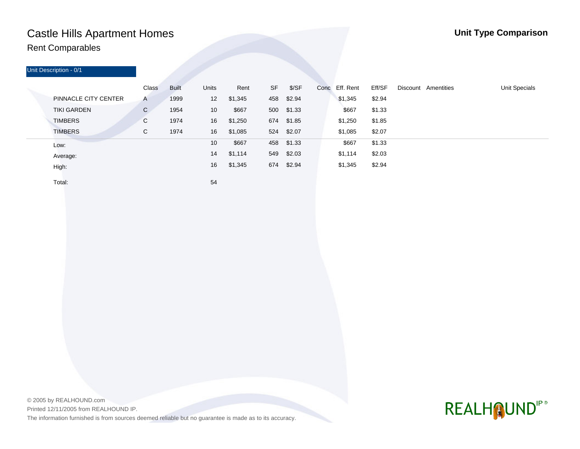## Castle Hills Apartment Homes **Unit Type Comparison** Rent Comparables

| Unit Description - 0/1      |              |              |              |         |           |            |                |        |                     |                      |
|-----------------------------|--------------|--------------|--------------|---------|-----------|------------|----------------|--------|---------------------|----------------------|
|                             | Class        | <b>Built</b> | <b>Units</b> | Rent    | <b>SF</b> | \$/SF      | Conc Eff. Rent | Eff/SF | Discount Amentities | <b>Unit Specials</b> |
| <b>PINNACLE CITY CENTER</b> | $\mathsf{A}$ | 1999         | 12           | \$1,345 | 458       | \$2.94     | \$1,345        | \$2.94 |                     |                      |
| <b>TIKI GARDEN</b>          | $\mathbf{C}$ | 1954         | 10           | \$667   |           | 500 \$1.33 | \$667          | \$1.33 |                     |                      |
| <b>TIMBERS</b>              | C            | 1974         | 16           | \$1,250 | 674       | \$1.85     | \$1,250        | \$1.85 |                     |                      |
| <b>TIMBERS</b>              | С            | 1974         | 16           | \$1,085 | 524       | \$2.07     | \$1,085        | \$2.07 |                     |                      |
| Low:                        |              |              | 10           | \$667   | 458       | \$1.33     | \$667          | \$1.33 |                     |                      |
| Average:                    |              |              | 14           | \$1,114 | 549       | \$2.03     | \$1,114        | \$2.03 |                     |                      |
| High:                       |              |              | 16           | \$1,345 | 674       | \$2.94     | \$1,345        | \$2.94 |                     |                      |

Total:

54

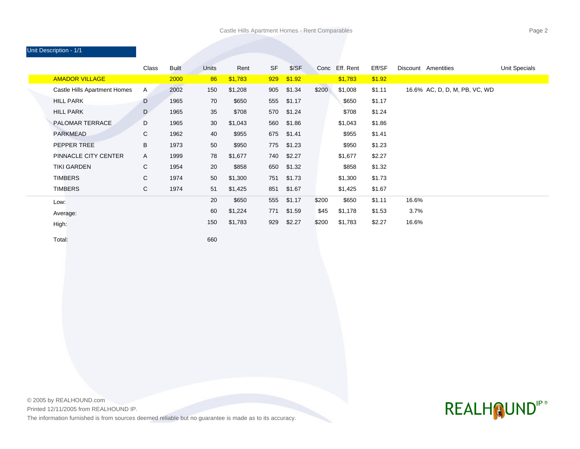### Unit Description - 1/1

|                              | Class | <b>Built</b> | Units | Rent    | <b>SF</b> | S/SF   |       | Conc Eff. Rent | Eff/SF |       | Discount Amentities           | <b>Unit Specials</b> |
|------------------------------|-------|--------------|-------|---------|-----------|--------|-------|----------------|--------|-------|-------------------------------|----------------------|
| <b>AMADOR VILLAGE</b>        |       | 2000         | 86    | \$1,783 | 929       | \$1.92 |       | \$1,783        | \$1.92 |       |                               |                      |
| Castle Hills Apartment Homes | A     | 2002         | 150   | \$1,208 | 905       | \$1.34 | \$200 | \$1,008        | \$1.11 |       | 16.6% AC, D, D, M, PB, VC, WD |                      |
| <b>HILL PARK</b>             | D     | 1965         | 70    | \$650   | 555       | \$1.17 |       | \$650          | \$1.17 |       |                               |                      |
| <b>HILL PARK</b>             | D     | 1965         | 35    | \$708   | 570       | \$1.24 |       | \$708          | \$1.24 |       |                               |                      |
| PALOMAR TERRACE              | D     | 1965         | 30    | \$1,043 | 560       | \$1.86 |       | \$1,043        | \$1.86 |       |                               |                      |
| <b>PARKMEAD</b>              | C     | 1962         | 40    | \$955   | 675       | \$1.41 |       | \$955          | \$1.41 |       |                               |                      |
| PEPPER TREE                  | B     | 1973         | 50    | \$950   | 775       | \$1.23 |       | \$950          | \$1.23 |       |                               |                      |
| PINNACLE CITY CENTER         | A     | 1999         | 78    | \$1,677 | 740       | \$2.27 |       | \$1,677        | \$2.27 |       |                               |                      |
| <b>TIKI GARDEN</b>           | C     | 1954         | 20    | \$858   | 650       | \$1.32 |       | \$858          | \$1.32 |       |                               |                      |
| <b>TIMBERS</b>               | C.    | 1974         | 50    | \$1,300 | 751       | \$1.73 |       | \$1,300        | \$1.73 |       |                               |                      |
| <b>TIMBERS</b>               | C     | 1974         | 51    | \$1,425 | 851       | \$1.67 |       | \$1,425        | \$1.67 |       |                               |                      |
| Low:                         |       |              | 20    | \$650   | 555       | \$1.17 | \$200 | \$650          | \$1.11 | 16.6% |                               |                      |
| Average:                     |       |              | 60    | \$1,224 | 771       | \$1.59 | \$45  | \$1,178        | \$1.53 | 3.7%  |                               |                      |
| High:                        |       |              | 150   | \$1,783 | 929       | \$2.27 | \$200 | \$1,783        | \$2.27 | 16.6% |                               |                      |

Total:

660

© 2005 by REALHOUND.com

Printed 12/11/2005 from REALHOUND IP.

The information furnished is from sources deemed reliable but no guarantee is made as to its accuracy.

# REALHOUNDIP®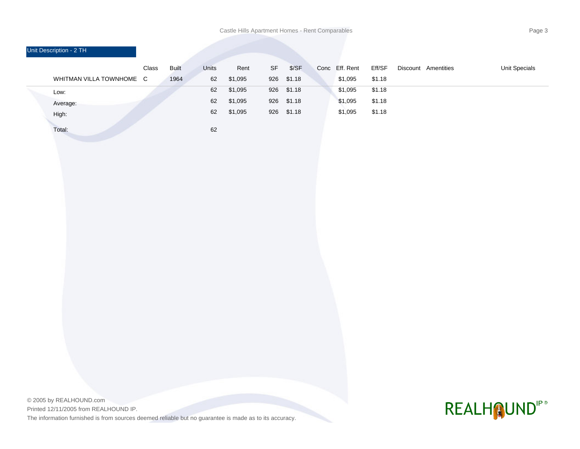Castle Hills Apartment Homes - Rent Comparables **Page 3 Page 3** 

| Unit Description - 2 TH  |       |              |       |         |                                   |            |                |        |                     |               |
|--------------------------|-------|--------------|-------|---------|-----------------------------------|------------|----------------|--------|---------------------|---------------|
|                          | Class | <b>Built</b> | Units | Rent    | $\ensuremath{\mathsf{SF}}\xspace$ | \$/SF      | Conc Eff. Rent | Eff/SF | Discount Amentities | Unit Specials |
| WHITMAN VILLA TOWNHOME C |       | 1964         | 62    | \$1,095 | 926                               | \$1.18     | \$1,095        | \$1.18 |                     |               |
| Low:                     |       |              | 62    | \$1,095 |                                   | 926 \$1.18 | \$1,095        | \$1.18 |                     |               |
| Average:                 |       |              | 62    | \$1,095 |                                   | 926 \$1.18 | \$1,095        | \$1.18 |                     |               |
| High:                    |       |              | 62    | \$1,095 |                                   | 926 \$1.18 | \$1,095        | \$1.18 |                     |               |
| Total:                   |       |              | 62    |         |                                   |            |                |        |                     |               |
|                          |       |              |       |         |                                   |            |                |        |                     |               |
|                          |       |              |       |         |                                   |            |                |        |                     |               |
|                          |       |              |       |         |                                   |            |                |        |                     |               |
|                          |       |              |       |         |                                   |            |                |        |                     |               |
|                          |       |              |       |         |                                   |            |                |        |                     |               |
|                          |       |              |       |         |                                   |            |                |        |                     |               |
|                          |       |              |       |         |                                   |            |                |        |                     |               |
|                          |       |              |       |         |                                   |            |                |        |                     |               |
|                          |       |              |       |         |                                   |            |                |        |                     |               |
|                          |       |              |       |         |                                   |            |                |        |                     |               |
|                          |       |              |       |         |                                   |            |                |        |                     |               |
|                          |       |              |       |         |                                   |            |                |        |                     |               |
|                          |       |              |       |         |                                   |            |                |        |                     |               |
|                          |       |              |       |         |                                   |            |                |        |                     |               |
|                          |       |              |       |         |                                   |            |                |        |                     |               |
|                          |       |              |       |         |                                   |            |                |        |                     |               |
|                          |       |              |       |         |                                   |            |                |        |                     |               |
|                          |       |              |       |         |                                   |            |                |        |                     |               |

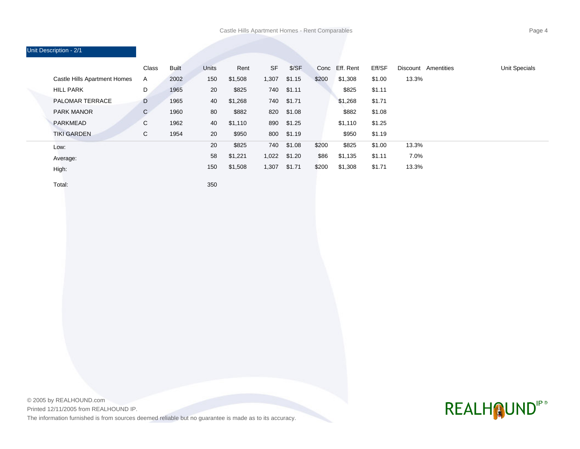### Unit Description - 2/1 Class Built Units Rent SF \$/SF Conc Eff. Rent Eff/SF Discount Amentities Unit Specials Castle Hills Apartment Homes A 2002 150 \$1,508 1,307 \$1.15 \$200 \$1,308 \$1.00 13.3% HILL PARK D 1965 20 \$825 740 \$1.11 \$825 \$1.11 PALOMAR TERRACE D 1965 40 \$1,268 740 \$1.71 \$1,268 \$1.71 PARK MANOR C 1960 80 \$882 820 \$1.08 \$882 \$1.08 PARKMEAD C 1962 40 \$1,110 890 \$1.25 \$1,110 \$1.25 TIKI GARDEN C 1954 20 \$950 800 \$1.19 \$950 \$1.19 20 58 150 740 1,022 1,307 \$825 \$1,221 \$1,508 \$1.08 \$1.20 \$1.71 Low: Average: High: \$200 \$200 \$825 \$1,135 \$1,308 \$86 \$1.00 \$1.11 \$1.71 13.3% 7.0% 13.3%

Total:

350

© 2005 by REALHOUND.com Printed 12/11/2005 from REALHOUND IP. The information furnished is from sources deemed reliable but no guarantee is made as to its accuracy.

## **REALHOUND"**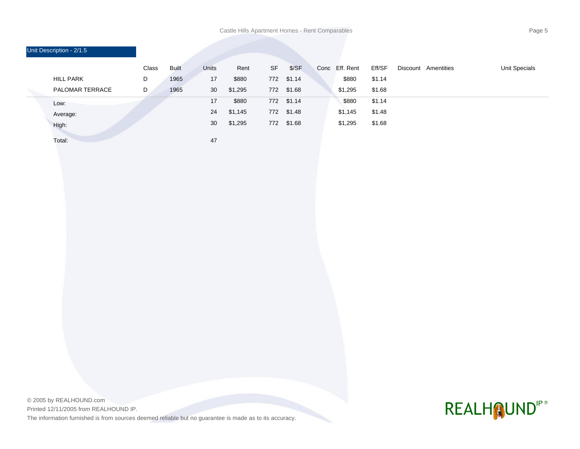Castle Hills Apartment Homes - Rent Comparables **Page 5 Page 5** 

| Unit Description - 2/1.5 |       |              |              |         |           |            |      |           |        |                     |               |
|--------------------------|-------|--------------|--------------|---------|-----------|------------|------|-----------|--------|---------------------|---------------|
|                          | Class | <b>Built</b> | <b>Units</b> | Rent    | <b>SF</b> | \$/SF      | Conc | Eff. Rent | Eff/SF | Discount Amentities | Unit Specials |
| <b>HILL PARK</b>         | D     | 1965         | 17           | \$880   |           | 772 \$1.14 |      | \$880     | \$1.14 |                     |               |
| PALOMAR TERRACE          | D     | 1965         | 30           | \$1,295 |           | 772 \$1.68 |      | \$1,295   | \$1.68 |                     |               |
| Low:                     |       |              | 17           | \$880   | 772       | \$1.14     |      | \$880     | \$1.14 |                     |               |
| Average:                 |       |              | 24           | \$1,145 | 772       | \$1.48     |      | \$1,145   | \$1.48 |                     |               |
| High:                    |       |              | 30           | \$1,295 |           | 772 \$1.68 |      | \$1,295   | \$1.68 |                     |               |
| Total:                   |       |              | 47           |         |           |            |      |           |        |                     |               |

© 2005 by REALHOUND.com Printed 12/11/2005 from REALHOUND IP. The information furnished is from sources deemed reliable but no guarantee is made as to its accuracy.

# REALHOUNDIP®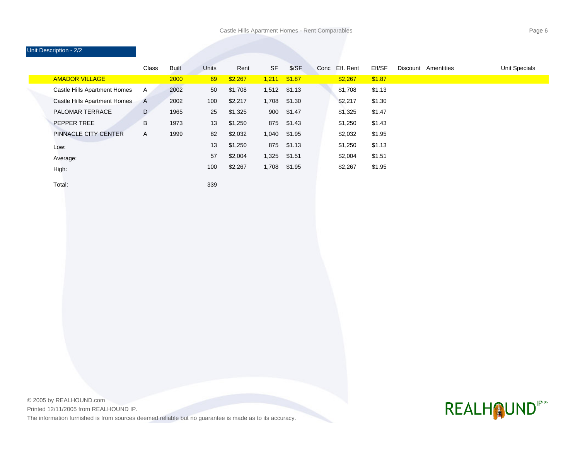### Unit Description - 2/2

|                                     | Class | Built | <b>Units</b> | Rent    | <b>SF</b> | \$/SF  | Conc | Eff. Rent | Eff/SF | Discount | Amentities | Unit Specials |
|-------------------------------------|-------|-------|--------------|---------|-----------|--------|------|-----------|--------|----------|------------|---------------|
| <b>AMADOR VILLAGE</b>               |       | 2000  | 69           | \$2,267 | 1,211     | \$1.87 |      | \$2,267   | \$1.87 |          |            |               |
| Castle Hills Apartment Homes        | A     | 2002  | 50           | \$1,708 | 1,512     | \$1.13 |      | \$1,708   | \$1.13 |          |            |               |
| <b>Castle Hills Apartment Homes</b> | A     | 2002  | 100          | \$2,217 | 1,708     | \$1.30 |      | \$2,217   | \$1.30 |          |            |               |
| <b>PALOMAR TERRACE</b>              | D     | 1965  | 25           | \$1,325 | 900       | \$1.47 |      | \$1,325   | \$1.47 |          |            |               |
| <b>PEPPER TREE</b>                  | B     | 1973  | 13           | \$1,250 | 875       | \$1.43 |      | \$1,250   | \$1.43 |          |            |               |
| <b>PINNACLE CITY CENTER</b>         | A     | 1999  | 82           | \$2,032 | 1,040     | \$1.95 |      | \$2,032   | \$1.95 |          |            |               |
| Low:                                |       |       | 13           | \$1,250 | 875       | \$1.13 |      | \$1,250   | \$1.13 |          |            |               |
| Average:                            |       |       | 57           | \$2,004 | 1,325     | \$1.51 |      | \$2,004   | \$1.51 |          |            |               |
| High:                               |       |       | 100          | \$2,267 | 1,708     | \$1.95 |      | \$2,267   | \$1.95 |          |            |               |
|                                     |       |       |              |         |           |        |      |           |        |          |            |               |

Total:

339

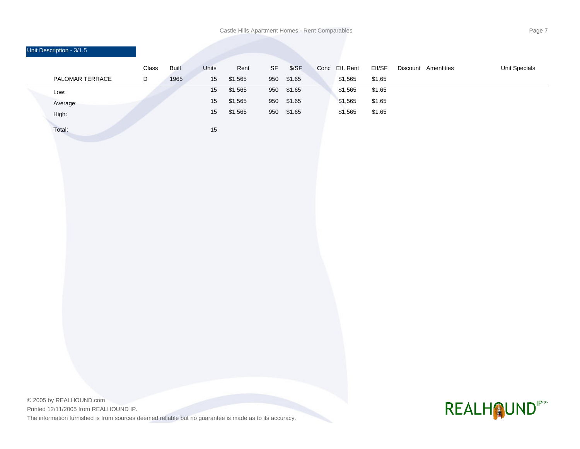Castle Hills Apartment Homes - Rent Comparables **Page 7 Page 7** 

|  | Unit Description - 3/1.5 |       |              |       |         |     |        |      |           |        |                     |                      |
|--|--------------------------|-------|--------------|-------|---------|-----|--------|------|-----------|--------|---------------------|----------------------|
|  |                          | Class | <b>Built</b> | Units | Rent    | SF  | \$/SF  | Conc | Eff. Rent | Eff/SF | Discount Amentities | <b>Unit Specials</b> |
|  | PALOMAR TERRACE          | D     | 1965         | 15    | \$1,565 | 950 | \$1.65 |      | \$1,565   | \$1.65 |                     |                      |
|  | Low:                     |       |              | 15    | \$1,565 | 950 | \$1.65 |      | \$1,565   | \$1.65 |                     |                      |
|  | Average:                 |       |              | 15    | \$1,565 | 950 | \$1.65 |      | \$1,565   | \$1.65 |                     |                      |
|  | High:                    |       |              | 15    | \$1,565 | 950 | \$1.65 |      | \$1,565   | \$1.65 |                     |                      |
|  | Total:                   |       |              | 15    |         |     |        |      |           |        |                     |                      |
|  |                          |       |              |       |         |     |        |      |           |        |                     |                      |
|  |                          |       |              |       |         |     |        |      |           |        |                     |                      |
|  |                          |       |              |       |         |     |        |      |           |        |                     |                      |

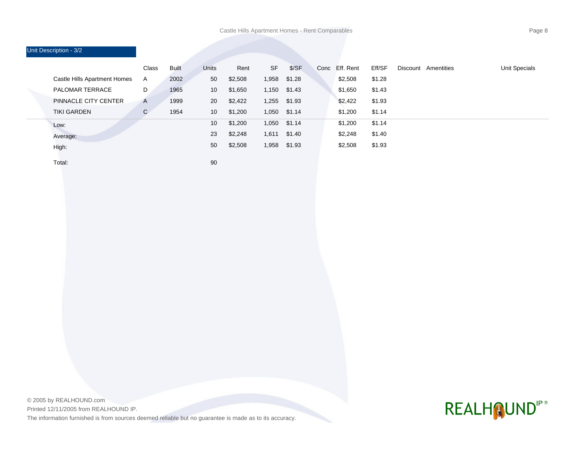| Unit Description - 3/2       |              |       |                 |         |           |        |      |           |        |                     |               |
|------------------------------|--------------|-------|-----------------|---------|-----------|--------|------|-----------|--------|---------------------|---------------|
|                              | Class        | Built | Units           | Rent    | <b>SF</b> | S/SF   | Conc | Eff. Rent | Eff/SF | Discount Amentities | Unit Specials |
| Castle Hills Apartment Homes | A            | 2002  | 50              | \$2,508 | 1,958     | \$1.28 |      | \$2,508   | \$1.28 |                     |               |
| <b>PALOMAR TERRACE</b>       | D            | 1965  | 10 <sup>°</sup> | \$1,650 | 1,150     | \$1.43 |      | \$1,650   | \$1.43 |                     |               |
| PINNACLE CITY CENTER         | $\mathsf{A}$ | 1999  | 20              | \$2,422 | 1,255     | \$1.93 |      | \$2,422   | \$1.93 |                     |               |
| <b>TIKI GARDEN</b>           | $\mathsf{C}$ | 1954  | 10              | \$1,200 | 1,050     | \$1.14 |      | \$1,200   | \$1.14 |                     |               |
| Low:                         |              |       | 10 <sup>°</sup> | \$1,200 | 1,050     | \$1.14 |      | \$1,200   | \$1.14 |                     |               |
| Average:                     |              |       | 23              | \$2,248 | 1,611     | \$1.40 |      | \$2,248   | \$1.40 |                     |               |
| High:                        |              |       | 50              | \$2,508 | 1,958     | \$1.93 |      | \$2,508   | \$1.93 |                     |               |

Total:

90